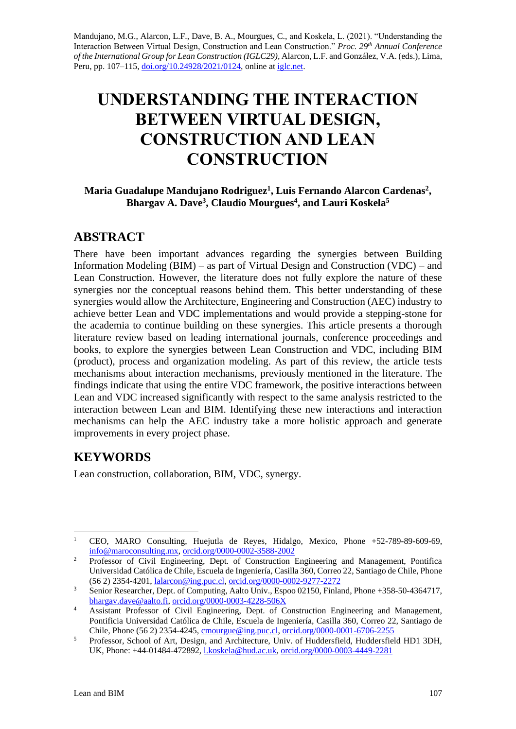Mandujano, M.G., Alarcon, L.F., Dave, B. A., Mourgues, C., and Koskela, L. (2021). "Understanding the Interaction Between Virtual Design, Construction and Lean Construction." *Proc. 29th Annual Conference of the International Group for Lean Construction (IGLC29),* Alarcon, L.F. and González, V.A. (eds.)*,* Lima, Peru, pp. 107–115, [doi.org/10.24928/2021/0124,](https://doi.org/10.24928/2021/0124) online at [iglc.net.](http://iglc.net/)

# **UNDERSTANDING THE INTERACTION BETWEEN VIRTUAL DESIGN, CONSTRUCTION AND LEAN CONSTRUCTION**

#### **Maria Guadalupe Mandujano Rodriguez<sup>1</sup> , Luis Fernando Alarcon Cardenas<sup>2</sup> , Bhargav A. Dave<sup>3</sup> , Claudio Mourgues<sup>4</sup> , and Lauri Koskela<sup>5</sup>**

#### **ABSTRACT**

There have been important advances regarding the synergies between Building Information Modeling (BIM) – as part of Virtual Design and Construction (VDC) – and Lean Construction. However, the literature does not fully explore the nature of these synergies nor the conceptual reasons behind them. This better understanding of these synergies would allow the Architecture, Engineering and Construction (AEC) industry to achieve better Lean and VDC implementations and would provide a stepping-stone for the academia to continue building on these synergies. This article presents a thorough literature review based on leading international journals, conference proceedings and books, to explore the synergies between Lean Construction and VDC, including BIM (product), process and organization modeling. As part of this review, the article tests mechanisms about interaction mechanisms, previously mentioned in the literature. The findings indicate that using the entire VDC framework, the positive interactions between Lean and VDC increased significantly with respect to the same analysis restricted to the interaction between Lean and BIM. Identifying these new interactions and interaction mechanisms can help the AEC industry take a more holistic approach and generate improvements in every project phase.

## **KEYWORDS**

Lean construction, collaboration, BIM, VDC, synergy.

<sup>1</sup> CEO, MARO Consulting, Huejutla de Reyes, Hidalgo, Mexico, Phone +52-789-89-609-69, [info@maroconsulting.mx,](mailto:info@maroconsulting.mx) [orcid.org/0000-0002-3588-2002](https://orcid.org/0000-0002-3588-2002)

<sup>&</sup>lt;sup>2</sup> Professor of Civil Engineering, Dept. of Construction Engineering and Management, Pontifica Universidad Católica de Chile, Escuela de Ingeniería, Casilla 360, Correo 22, Santiago de Chile, Phone (56 2) 2354-4201, [lalarcon@ing.puc.cl,](mailto:lalarcon@ing.puc.cl) [orcid.org/0000-0002-9277-2272](https://orcid.org/0000-0002-9277-2272)

<sup>&</sup>lt;sup>3</sup> Senior Researcher, Dept. of Computing, Aalto Univ., Espoo 02150, Finland, Phone +358-50-4364717, [bhargav.dave@aalto.fi,](mailto:bhargav.dave@aalto.fi) [orcid.org/0000-0003-4228-506X](https://orcid.org/0000-0003-4228-506X)

<sup>&</sup>lt;sup>4</sup> Assistant Professor of Civil Engineering, Dept. of Construction Engineering and Management, Pontificia Universidad Católica de Chile, Escuela de Ingeniería, Casilla 360, Correo 22, Santiago de Chile, Phone (56 2) 2354-4245, [cmourgue@ing.puc.cl,](mailto:cmourgue@ing.puc.cl) [orcid.org/0000-0001-6706-2255](https://orcid.org/0000-0001-6706-2255)

<sup>&</sup>lt;sup>5</sup> Professor, School of Art, Design, and Architecture, Univ. of Huddersfield, Huddersfield HD1 3DH, UK, Phone: +44-01484-472892, [l.koskela@hud.ac.uk,](mailto:l.koskela@hud.ac.uk) [orcid.org/0000-0003-4449-2281](https://orcid.org/0000-0003-4449-2281)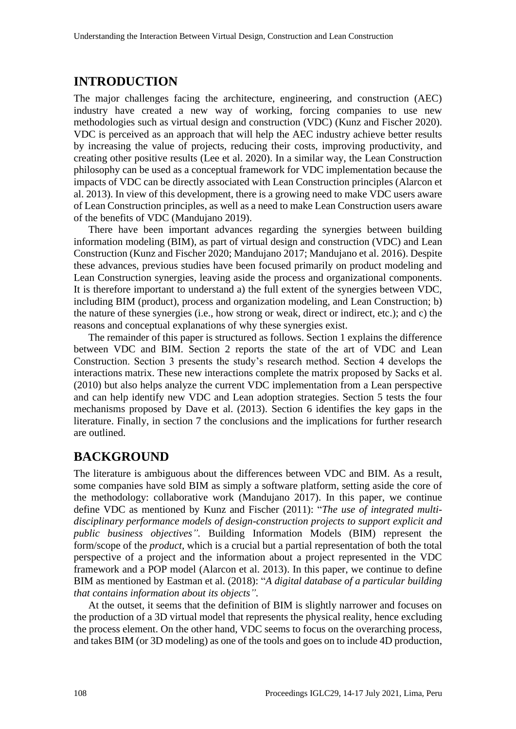#### **INTRODUCTION**

The major challenges facing the architecture, engineering, and construction (AEC) industry have created a new way of working, forcing companies to use new methodologies such as virtual design and construction (VDC) (Kunz and Fischer 2020). VDC is perceived as an approach that will help the AEC industry achieve better results by increasing the value of projects, reducing their costs, improving productivity, and creating other positive results (Lee et al. 2020). In a similar way, the Lean Construction philosophy can be used as a conceptual framework for VDC implementation because the impacts of VDC can be directly associated with Lean Construction principles (Alarcon et al. 2013). In view of this development, there is a growing need to make VDC users aware of Lean Construction principles, as well as a need to make Lean Construction users aware of the benefits of VDC (Mandujano 2019).

There have been important advances regarding the synergies between building information modeling (BIM), as part of virtual design and construction (VDC) and Lean Construction (Kunz and Fischer 2020; Mandujano 2017; Mandujano et al. 2016). Despite these advances, previous studies have been focused primarily on product modeling and Lean Construction synergies, leaving aside the process and organizational components. It is therefore important to understand a) the full extent of the synergies between VDC, including BIM (product), process and organization modeling, and Lean Construction; b) the nature of these synergies (i.e., how strong or weak, direct or indirect, etc.); and c) the reasons and conceptual explanations of why these synergies exist.

The remainder of this paper is structured as follows. Section 1 explains the difference between VDC and BIM. Section 2 reports the state of the art of VDC and Lean Construction. Section 3 presents the study's research method. Section 4 develops the interactions matrix. These new interactions complete the matrix proposed by Sacks et al. (2010) but also helps analyze the current VDC implementation from a Lean perspective and can help identify new VDC and Lean adoption strategies. Section 5 tests the four mechanisms proposed by Dave et al. (2013). Section 6 identifies the key gaps in the literature. Finally, in section 7 the conclusions and the implications for further research are outlined.

## **BACKGROUND**

The literature is ambiguous about the differences between VDC and BIM. As a result, some companies have sold BIM as simply a software platform, setting aside the core of the methodology: collaborative work (Mandujano 2017). In this paper, we continue define VDC as mentioned by Kunz and Fischer (2011): "*The use of integrated multidisciplinary performance models of design-construction projects to support explicit and public business objectives".* Building Information Models (BIM) represent the form/scope of the *product*, which is a crucial but a partial representation of both the total perspective of a project and the information about a project represented in the VDC framework and a POP model (Alarcon et al. 2013). In this paper, we continue to define BIM as mentioned by Eastman et al. (2018): "*A digital database of a particular building that contains information about its objects".*

At the outset, it seems that the definition of BIM is slightly narrower and focuses on the production of a 3D virtual model that represents the physical reality, hence excluding the process element. On the other hand, VDC seems to focus on the overarching process, and takes BIM (or 3D modeling) as one of the tools and goes on to include 4D production,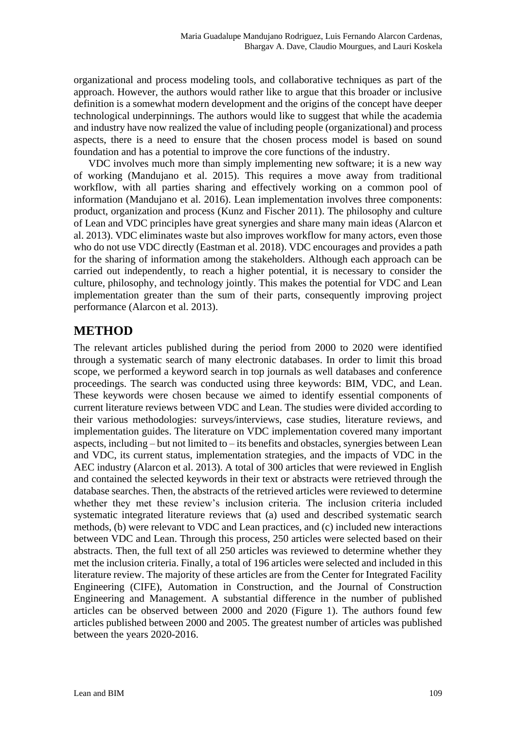organizational and process modeling tools, and collaborative techniques as part of the approach. However, the authors would rather like to argue that this broader or inclusive definition is a somewhat modern development and the origins of the concept have deeper technological underpinnings. The authors would like to suggest that while the academia and industry have now realized the value of including people (organizational) and process aspects, there is a need to ensure that the chosen process model is based on sound foundation and has a potential to improve the core functions of the industry.

VDC involves much more than simply implementing new software; it is a new way of working (Mandujano et al. 2015). This requires a move away from traditional workflow, with all parties sharing and effectively working on a common pool of information (Mandujano et al. 2016). Lean implementation involves three components: product, organization and process (Kunz and Fischer 2011). The philosophy and culture of Lean and VDC principles have great synergies and share many main ideas (Alarcon et al. 2013). VDC eliminates waste but also improves workflow for many actors, even those who do not use VDC directly (Eastman et al. 2018). VDC encourages and provides a path for the sharing of information among the stakeholders. Although each approach can be carried out independently, to reach a higher potential, it is necessary to consider the culture, philosophy, and technology jointly. This makes the potential for VDC and Lean implementation greater than the sum of their parts, consequently improving project performance (Alarcon et al. 2013).

# **METHOD**

The relevant articles published during the period from 2000 to 2020 were identified through a systematic search of many electronic databases. In order to limit this broad scope, we performed a keyword search in top journals as well databases and conference proceedings. The search was conducted using three keywords: BIM, VDC, and Lean. These keywords were chosen because we aimed to identify essential components of current literature reviews between VDC and Lean. The studies were divided according to their various methodologies: surveys/interviews, case studies, literature reviews, and implementation guides. The literature on VDC implementation covered many important aspects, including  $-$  but not limited to  $-$  its benefits and obstacles, synergies between Lean and VDC, its current status, implementation strategies, and the impacts of VDC in the AEC industry (Alarcon et al. 2013). A total of 300 articles that were reviewed in English and contained the selected keywords in their text or abstracts were retrieved through the database searches. Then, the abstracts of the retrieved articles were reviewed to determine whether they met these review's inclusion criteria. The inclusion criteria included systematic integrated literature reviews that (a) used and described systematic search methods, (b) were relevant to VDC and Lean practices, and (c) included new interactions between VDC and Lean. Through this process, 250 articles were selected based on their abstracts. Then, the full text of all 250 articles was reviewed to determine whether they met the inclusion criteria. Finally, a total of 196 articles were selected and included in this literature review. The majority of these articles are from the Center for Integrated Facility Engineering (CIFE), Automation in Construction, and the Journal of Construction Engineering and Management. A substantial difference in the number of published articles can be observed between 2000 and 2020 (Figure 1). The authors found few articles published between 2000 and 2005. The greatest number of articles was published between the years 2020-2016.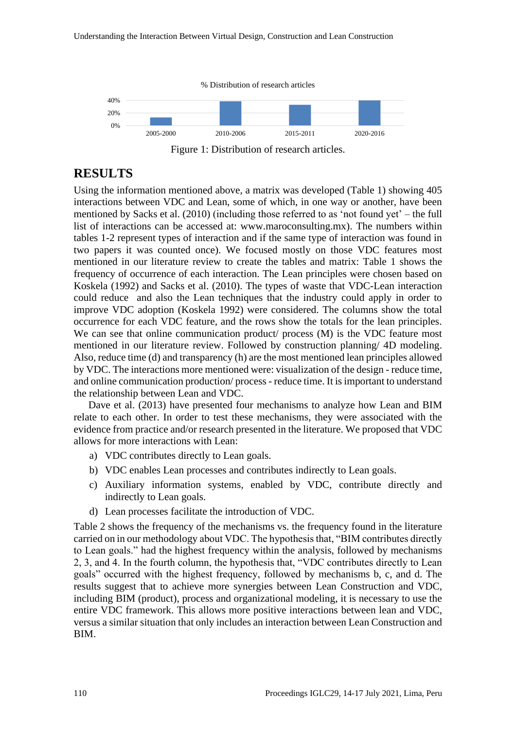

Figure 1: Distribution of research articles.

## **RESULTS**

Using the information mentioned above, a matrix was developed (Table 1) showing 405 interactions between VDC and Lean, some of which, in one way or another, have been mentioned by Sacks et al. (2010) (including those referred to as 'not found yet' – the full list of interactions can be accessed at: www.maroconsulting.mx). The numbers within tables 1-2 represent types of interaction and if the same type of interaction was found in two papers it was counted once). We focused mostly on those VDC features most mentioned in our literature review to create the tables and matrix: Table 1 shows the frequency of occurrence of each interaction. The Lean principles were chosen based on Koskela (1992) and Sacks et al. (2010). The types of waste that VDC-Lean interaction could reduce and also the Lean techniques that the industry could apply in order to improve VDC adoption (Koskela 1992) were considered. The columns show the total occurrence for each VDC feature, and the rows show the totals for the lean principles. We can see that online communication product/ process (M) is the VDC feature most mentioned in our literature review. Followed by construction planning/ 4D modeling. Also, reduce time (d) and transparency (h) are the most mentioned lean principles allowed by VDC. The interactions more mentioned were: visualization of the design - reduce time, and online communication production/ process - reduce time. It is important to understand the relationship between Lean and VDC.

Dave et al. (2013) have presented four mechanisms to analyze how Lean and BIM relate to each other. In order to test these mechanisms, they were associated with the evidence from practice and/or research presented in the literature. We proposed that VDC allows for more interactions with Lean:

- a) VDC contributes directly to Lean goals.
- b) VDC enables Lean processes and contributes indirectly to Lean goals.
- c) Auxiliary information systems, enabled by VDC, contribute directly and indirectly to Lean goals.
- d) Lean processes facilitate the introduction of VDC.

Table 2 shows the frequency of the mechanisms vs. the frequency found in the literature carried on in our methodology about VDC. The hypothesis that, "BIM contributes directly to Lean goals." had the highest frequency within the analysis, followed by mechanisms 2, 3, and 4. In the fourth column, the hypothesis that, "VDC contributes directly to Lean goals" occurred with the highest frequency, followed by mechanisms b, c, and d. The results suggest that to achieve more synergies between Lean Construction and VDC, including BIM (product), process and organizational modeling, it is necessary to use the entire VDC framework. This allows more positive interactions between lean and VDC, versus a similar situation that only includes an interaction between Lean Construction and BIM.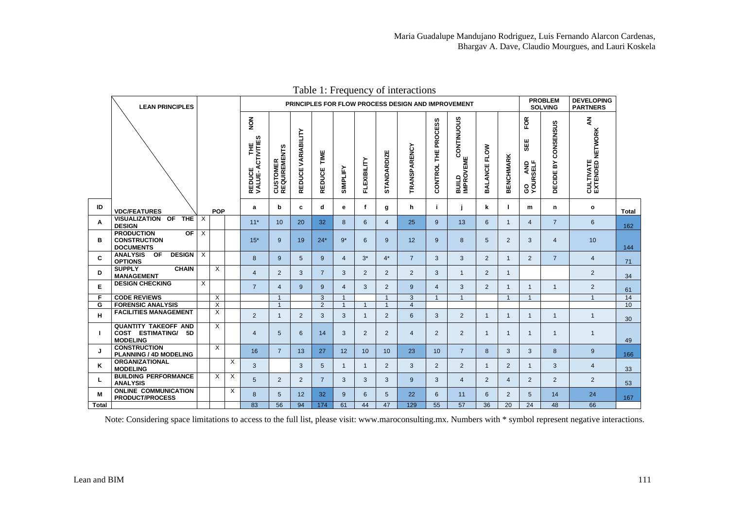|              | <b>LEAN PRINCIPLES</b>                                                          |                         |                         |   | PRINCIPLES FOR FLOW PROCESS DESIGN AND IMPROVEMENT |                                  |                              |                       |                |                |                 |                     |                                |                                      | <b>PROBLEM</b><br><b>SOLVING</b> |                  | <b>DEVELOPING</b><br><b>PARTNERS</b>              |                           |                                                               |              |
|--------------|---------------------------------------------------------------------------------|-------------------------|-------------------------|---|----------------------------------------------------|----------------------------------|------------------------------|-----------------------|----------------|----------------|-----------------|---------------------|--------------------------------|--------------------------------------|----------------------------------|------------------|---------------------------------------------------|---------------------------|---------------------------------------------------------------|--------------|
|              |                                                                                 |                         |                         |   | NOM<br>E<br>ACTIVITIES<br>REDUCE<br>VALUE-A        | <b>CUSTOMER<br/>REQUIREMENTS</b> | VARIABILITY<br><b>REDUCE</b> | TIME<br><b>REDUCE</b> | SIMPLIFY       | FLEXIBILITY    | STANDARDIZE     | <b>TRANSPARENCY</b> | <b>PROCESS</b><br>뿓<br>CONTROL | <b>BUILD CONTINUOUS</b><br>IMPROVEME | <b>FLOW</b><br><b>BALANCE</b>    | <b>BENCHMARK</b> | FOR<br>出<br>க<br><b>AND</b><br>SELF<br>SO<br>NOUR | CONSENSUS<br>Σñ<br>DECIDE | $\tilde{\mathbf{z}}$<br><b>CULTIVATE<br/>EXTENDED NETWORK</b> |              |
| ID           | <b>VDC/FEATURES</b>                                                             |                         | <b>POP</b>              |   | a                                                  | b                                | c                            | d                     | е              | f              | g               | h                   | j.                             |                                      | k                                |                  | m                                                 | n                         | $\mathbf{o}$                                                  | <b>Total</b> |
| A            | <b>VISUALIZATION OF</b><br><b>THE</b><br><b>DESIGN</b>                          | $\times$                |                         |   | $11*$                                              | 10                               | 20                           | 32                    | 8              | 6              | $\overline{4}$  | 25                  | 9                              | 13                                   | 6                                | $\overline{1}$   | $\overline{4}$                                    | $\overline{7}$            | 6                                                             | 162          |
| в            | <b>PRODUCTION</b><br>OF<br><b>CONSTRUCTION</b><br><b>DOCUMENTS</b>              | $\times$                |                         |   | $15*$                                              | 9                                | 19                           | $24*$                 | $9*$           | 6              | 9               | 12                  | 9                              | 8                                    | 5                                | 2                | 3                                                 | 4                         | 10                                                            | 144          |
| C            | ANALYSIS OF<br><b>DESIGN</b><br><b>OPTIONS</b>                                  | $\overline{\mathsf{x}}$ |                         |   | 8                                                  | 9                                | 5                            | 9                     | $\overline{4}$ | $3^*$          | $4^*$           | $\overline{7}$      | 3                              | 3                                    | $\overline{2}$                   | $\mathbf{1}$     | 2                                                 | $\overline{7}$            | 4                                                             | 71           |
| D            | <b>SUPPLY</b><br><b>CHAIN</b><br><b>MANAGEMENT</b>                              |                         | $\overline{\mathsf{x}}$ |   | $\overline{4}$                                     | 2                                | 3                            | $\overline{7}$        | 3              | 2              | $\overline{2}$  | 2                   | 3                              | $\mathbf{1}$                         | 2                                | $\overline{1}$   |                                                   |                           | $\overline{2}$                                                | 34           |
| E            | <b>DESIGN CHECKING</b>                                                          | $\overline{X}$          |                         |   | $\overline{7}$                                     | $\overline{4}$                   | 9                            | 9                     | $\overline{4}$ | 3              | 2               | 9                   | $\overline{4}$                 | 3                                    | 2                                | $\overline{1}$   | $\overline{1}$                                    | $\mathbf{1}$              | $\overline{2}$                                                | 61           |
| F            | <b>CODE REVIEWS</b>                                                             |                         | $\times$                |   |                                                    | $\overline{1}$                   |                              | 3                     | $\mathbf{1}$   |                | $\mathbf{1}$    | 3                   | $\overline{1}$                 | $\overline{1}$                       |                                  | $\overline{1}$   | $\overline{1}$                                    |                           | $\mathbf{1}$                                                  | 14           |
| G            | <b>FORENSIC ANALYSIS</b>                                                        |                         | X                       |   |                                                    | $\overline{1}$                   |                              | 2                     | $\overline{1}$ | $\overline{1}$ | $\overline{1}$  | $\overline{4}$      |                                |                                      |                                  |                  |                                                   |                           |                                                               | 10           |
| н            | <b>FACILITIES MANAGEMENT</b>                                                    |                         | X                       |   | 2                                                  | $\mathbf{1}$                     | 2                            | 3                     | 3              | $\mathbf{1}$   | $\overline{2}$  | 6                   | 3                              | $\overline{2}$                       | $\mathbf{1}$                     | $\overline{1}$   | $\mathbf{1}$                                      | $\mathbf{1}$              | $\mathbf{1}$                                                  | 30           |
| п            | <b>QUANTITY TAKEOFF AND</b><br><b>COST ESTIMATING/</b><br>5D<br><b>MODELING</b> |                         | $\times$                |   | $\overline{4}$                                     | 5                                | 6                            | 14                    | 3              | $\overline{2}$ | $\overline{2}$  | $\overline{4}$      | $\overline{2}$                 | $\overline{2}$                       | $\mathbf{1}$                     | $\mathbf{1}$     | $\mathbf{1}$                                      | $\mathbf{1}$              | $\mathbf{1}$                                                  | 49           |
| J            | <b>CONSTRUCTION</b><br>PLANNING / 4D MODELING                                   |                         | $\times$                |   | 16                                                 | $\overline{7}$                   | 13                           | 27                    | 12             | 10             | 10              | 23                  | 10 <sup>°</sup>                | $\overline{7}$                       | 8                                | 3                | 3                                                 | 8                         | 9                                                             | 166          |
| ĸ            | <b>ORGANIZATIONAL</b><br><b>MODELING</b>                                        |                         |                         | X | 3                                                  |                                  | 3                            | 5                     | $\mathbf{1}$   | 1              | $\overline{2}$  | 3                   | $\overline{2}$                 | 2                                    | $\mathbf{1}$                     | 2                | 1                                                 | 3                         | $\overline{4}$                                                | 33           |
| L            | <b>BUILDING PERFORMANCE</b><br><b>ANALYSIS</b>                                  |                         | $\times$                | Χ | 5                                                  | 2                                | 2                            | $\overline{7}$        | 3              | 3              | 3               | 9                   | 3                              | $\overline{4}$                       | 2                                | $\overline{4}$   | 2                                                 | $\overline{2}$            | $\overline{2}$                                                | 53           |
| Μ            | <b>ONLINE COMMUNICATION</b><br><b>PRODUCT/PROCESS</b>                           |                         |                         | X | 8                                                  | 5                                | 12                           | 32                    | 9              | 6              | $5\overline{)}$ | 22                  | 6                              | 11                                   | 6                                | 2                | 5                                                 | 14                        | 24                                                            | 167          |
| <b>Total</b> |                                                                                 |                         |                         |   | 83                                                 | 56                               | 94                           | 174                   | 61             | 44             | 47              | 129                 | 55                             | 57                                   | 36                               | 20               | 24                                                | 48                        | 66                                                            |              |

Table 1: Frequency of interactions

Note: Considering space limitations to access to the full list, please visit: www.maroconsulting.mx. Numbers with \* symbol represent negative interactions.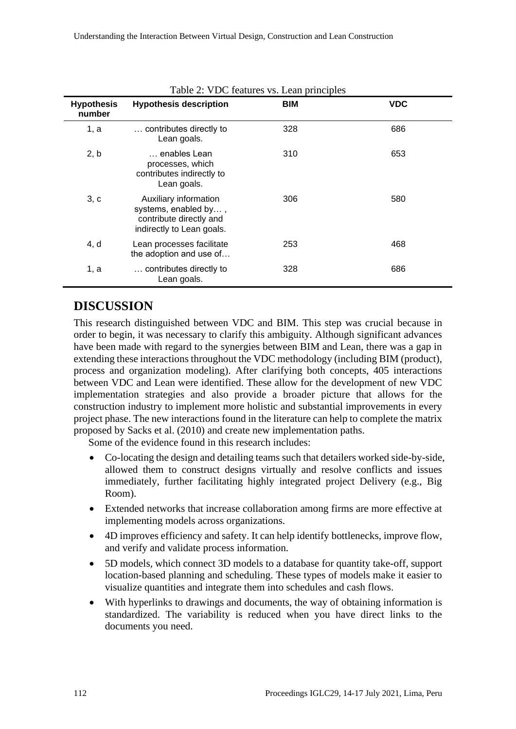| <b>Hypothesis</b><br>number | <b>Hypothesis description</b>                                                                         | <b>BIM</b> | <b>VDC</b> |
|-----------------------------|-------------------------------------------------------------------------------------------------------|------------|------------|
| 1, a                        | contributes directly to<br>Lean goals.                                                                | 328        | 686        |
| 2, b                        | enables Lean<br>processes, which<br>contributes indirectly to<br>Lean goals.                          | 310        | 653        |
| 3, c                        | Auxiliary information<br>systems, enabled by,<br>contribute directly and<br>indirectly to Lean goals. | 306        | 580        |
| 4, d                        | Lean processes facilitate<br>the adoption and use of                                                  | 253        | 468        |
| 1, a                        | contributes directly to<br>Lean goals.                                                                | 328        | 686        |

| Table 2: VDC features vs. Lean principles |  |  |
|-------------------------------------------|--|--|
|-------------------------------------------|--|--|

#### **DISCUSSION**

This research distinguished between VDC and BIM. This step was crucial because in order to begin, it was necessary to clarify this ambiguity. Although significant advances have been made with regard to the synergies between BIM and Lean, there was a gap in extending these interactions throughout the VDC methodology (including BIM (product), process and organization modeling). After clarifying both concepts, 405 interactions between VDC and Lean were identified. These allow for the development of new VDC implementation strategies and also provide a broader picture that allows for the construction industry to implement more holistic and substantial improvements in every project phase. The new interactions found in the literature can help to complete the matrix proposed by Sacks et al. (2010) and create new implementation paths.

Some of the evidence found in this research includes:

- Co-locating the design and detailing teams such that detailers worked side-by-side, allowed them to construct designs virtually and resolve conflicts and issues immediately, further facilitating highly integrated project Delivery (e.g., Big Room).
- Extended networks that increase collaboration among firms are more effective at implementing models across organizations.
- 4D improves efficiency and safety. It can help identify bottlenecks, improve flow, and verify and validate process information.
- 5D models, which connect 3D models to a database for quantity take-off, support location-based planning and scheduling. These types of models make it easier to visualize quantities and integrate them into schedules and cash flows.
- With hyperlinks to drawings and documents, the way of obtaining information is standardized. The variability is reduced when you have direct links to the documents you need.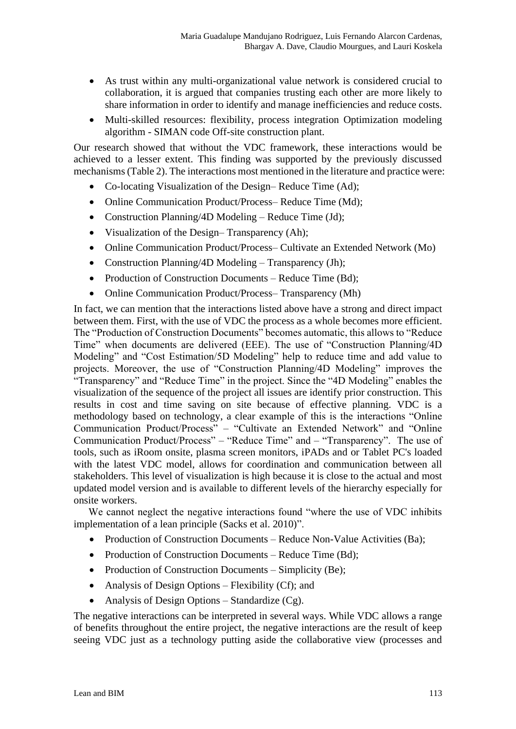- As trust within any multi-organizational value network is considered crucial to collaboration, it is argued that companies trusting each other are more likely to share information in order to identify and manage inefficiencies and reduce costs.
- Multi-skilled resources: flexibility, process integration Optimization modeling algorithm - SIMAN code Off-site construction plant.

Our research showed that without the VDC framework, these interactions would be achieved to a lesser extent. This finding was supported by the previously discussed mechanisms (Table 2). The interactions most mentioned in the literature and practice were:

- Co-locating Visualization of the Design–Reduce Time (Ad):
- Online Communication Product/Process– Reduce Time (Md);
- Construction Planning/4D Modeling Reduce Time (Jd);
- Visualization of the Design–Transparency (Ah);
- Online Communication Product/Process– Cultivate an Extended Network (Mo)
- Construction Planning/4D Modeling Transparency (Jh);
- Production of Construction Documents Reduce Time (Bd);
- Online Communication Product/Process– Transparency (Mh)

In fact, we can mention that the interactions listed above have a strong and direct impact between them. First, with the use of VDC the process as a whole becomes more efficient. The "Production of Construction Documents" becomes automatic, this allows to "Reduce Time" when documents are delivered (EEE). The use of "Construction Planning/4D Modeling" and "Cost Estimation/5D Modeling" help to reduce time and add value to projects. Moreover, the use of "Construction Planning/4D Modeling" improves the "Transparency" and "Reduce Time" in the project. Since the "4D Modeling" enables the visualization of the sequence of the project all issues are identify prior construction. This results in cost and time saving on site because of effective planning. VDC is a methodology based on technology, a clear example of this is the interactions "Online Communication Product/Process" – "Cultivate an Extended Network" and "Online Communication Product/Process" – "Reduce Time" and – "Transparency". The use of tools, such as iRoom onsite, plasma screen monitors, iPADs and or Tablet PC's loaded with the latest VDC model, allows for coordination and communication between all stakeholders. This level of visualization is high because it is close to the actual and most updated model version and is available to different levels of the hierarchy especially for onsite workers.

We cannot neglect the negative interactions found "where the use of VDC inhibits implementation of a lean principle (Sacks et al. 2010)".

- Production of Construction Documents Reduce Non-Value Activities (Ba);
- Production of Construction Documents Reduce Time (Bd);
- Production of Construction Documents Simplicity (Be);
- Analysis of Design Options Flexibility (Cf); and
- Analysis of Design Options Standardize (Cg).

The negative interactions can be interpreted in several ways. While VDC allows a range of benefits throughout the entire project, the negative interactions are the result of keep seeing VDC just as a technology putting aside the collaborative view (processes and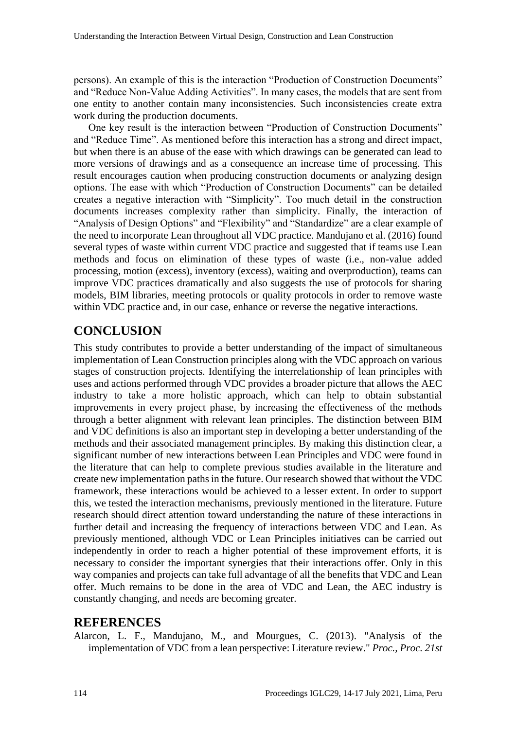persons). An example of this is the interaction "Production of Construction Documents" and "Reduce Non-Value Adding Activities". In many cases, the models that are sent from one entity to another contain many inconsistencies. Such inconsistencies create extra work during the production documents.

One key result is the interaction between "Production of Construction Documents" and "Reduce Time". As mentioned before this interaction has a strong and direct impact, but when there is an abuse of the ease with which drawings can be generated can lead to more versions of drawings and as a consequence an increase time of processing. This result encourages caution when producing construction documents or analyzing design options. The ease with which "Production of Construction Documents" can be detailed creates a negative interaction with "Simplicity". Too much detail in the construction documents increases complexity rather than simplicity. Finally, the interaction of "Analysis of Design Options" and "Flexibility" and "Standardize" are a clear example of the need to incorporate Lean throughout all VDC practice. Mandujano et al. (2016) found several types of waste within current VDC practice and suggested that if teams use Lean methods and focus on elimination of these types of waste (i.e., non-value added processing, motion (excess), inventory (excess), waiting and overproduction), teams can improve VDC practices dramatically and also suggests the use of protocols for sharing models, BIM libraries, meeting protocols or quality protocols in order to remove waste within VDC practice and, in our case, enhance or reverse the negative interactions.

# **CONCLUSION**

This study contributes to provide a better understanding of the impact of simultaneous implementation of Lean Construction principles along with the VDC approach on various stages of construction projects. Identifying the interrelationship of lean principles with uses and actions performed through VDC provides a broader picture that allows the AEC industry to take a more holistic approach, which can help to obtain substantial improvements in every project phase, by increasing the effectiveness of the methods through a better alignment with relevant lean principles. The distinction between BIM and VDC definitions is also an important step in developing a better understanding of the methods and their associated management principles. By making this distinction clear, a significant number of new interactions between Lean Principles and VDC were found in the literature that can help to complete previous studies available in the literature and create new implementation paths in the future. Our research showed that without the VDC framework, these interactions would be achieved to a lesser extent. In order to support this, we tested the interaction mechanisms, previously mentioned in the literature. Future research should direct attention toward understanding the nature of these interactions in further detail and increasing the frequency of interactions between VDC and Lean. As previously mentioned, although VDC or Lean Principles initiatives can be carried out independently in order to reach a higher potential of these improvement efforts, it is necessary to consider the important synergies that their interactions offer. Only in this way companies and projects can take full advantage of all the benefits that VDC and Lean offer. Much remains to be done in the area of VDC and Lean, the AEC industry is constantly changing, and needs are becoming greater.

#### **REFERENCES**

Alarcon, L. F., Mandujano, M., and Mourgues, C. (2013). "Analysis of the implementation of VDC from a lean perspective: Literature review." *Proc., Proc. 21st*